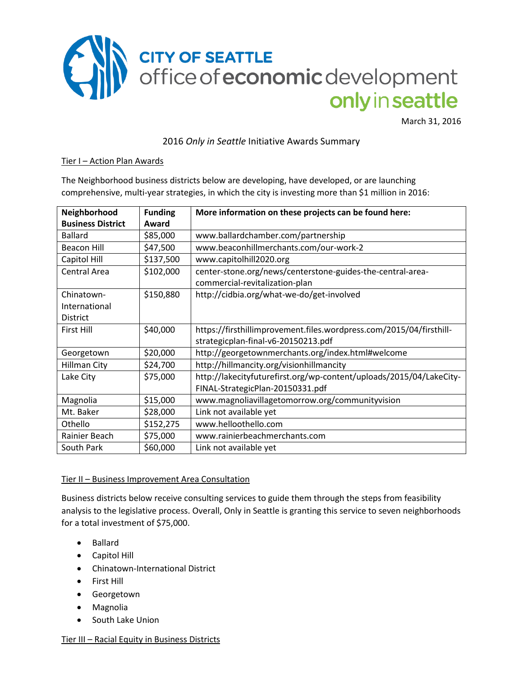

March 31, 2016

2016 *Only in Seattle* Initiative Awards Summary

#### Tier I – Action Plan Awards

The Neighborhood business districts below are developing, have developed, or are launching comprehensive, multi-year strategies, in which the city is investing more than \$1 million in 2016:

| Neighborhood             | <b>Funding</b> | More information on these projects can be found here:               |
|--------------------------|----------------|---------------------------------------------------------------------|
| <b>Business District</b> | Award          |                                                                     |
| <b>Ballard</b>           | \$85,000       | www.ballardchamber.com/partnership                                  |
| <b>Beacon Hill</b>       | \$47,500       | www.beaconhillmerchants.com/our-work-2                              |
| Capitol Hill             | \$137,500      | www.capitolhill2020.org                                             |
| <b>Central Area</b>      | \$102,000      | center-stone.org/news/centerstone-guides-the-central-area-          |
|                          |                | commercial-revitalization-plan                                      |
| Chinatown-               | \$150,880      | http://cidbia.org/what-we-do/get-involved                           |
| International            |                |                                                                     |
| <b>District</b>          |                |                                                                     |
| First Hill               | \$40,000       | https://firsthillimprovement.files.wordpress.com/2015/04/firsthill- |
|                          |                | strategicplan-final-v6-20150213.pdf                                 |
| Georgetown               | \$20,000       | http://georgetownmerchants.org/index.html#welcome                   |
| Hillman City             | \$24,700       | http://hillmancity.org/visionhillmancity                            |
| Lake City                | \$75,000       | http://lakecityfuturefirst.org/wp-content/uploads/2015/04/LakeCity- |
|                          |                | FINAL-StrategicPlan-20150331.pdf                                    |
| Magnolia                 | \$15,000       | www.magnoliavillagetomorrow.org/communityvision                     |
| Mt. Baker                | \$28,000       | Link not available yet                                              |
| Othello                  | \$152,275      | www.helloothello.com                                                |
| Rainier Beach            | \$75,000       | www.rainierbeachmerchants.com                                       |
| South Park               | \$60,000       | Link not available yet                                              |

#### Tier II – Business Improvement Area Consultation

Business districts below receive consulting services to guide them through the steps from feasibility analysis to the legislative process. Overall, Only in Seattle is granting this service to seven neighborhoods for a total investment of \$75,000.

- Ballard
- Capitol Hill
- Chinatown-International District
- First Hill
- **•** Georgetown
- Magnolia
- South Lake Union

Tier III – Racial Equity in Business Districts